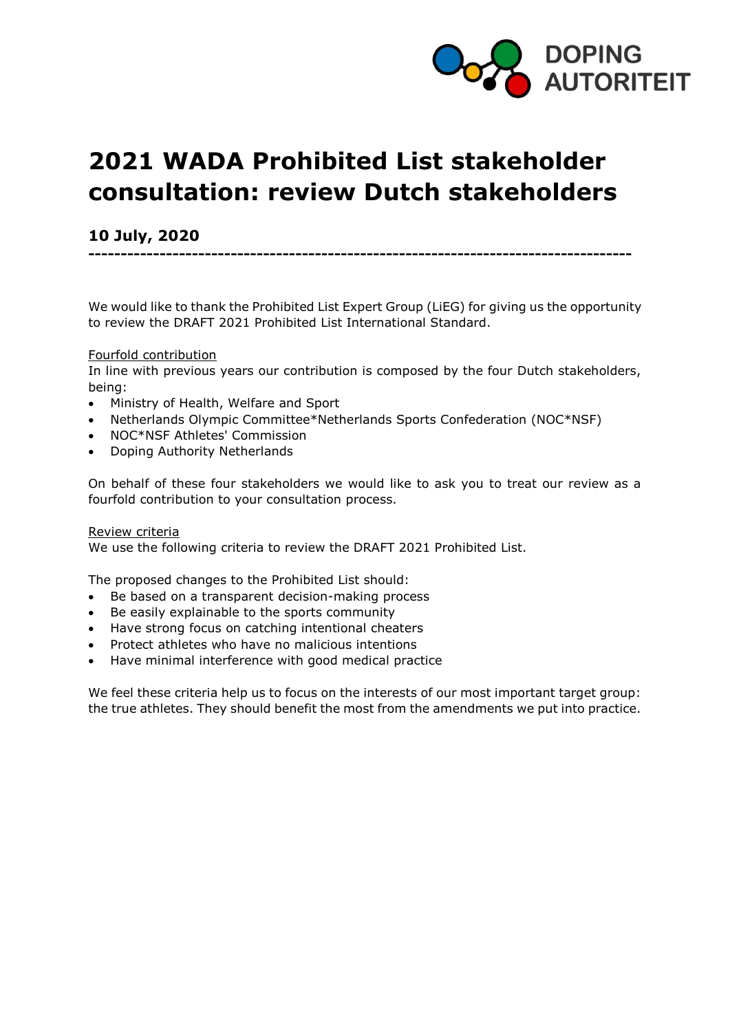

# **2021 WADA Prohibited List stakeholder consultation: review Dutch stakeholders**

# **10 July, 2020**

We would like to thank the Prohibited List Expert Group (LiEG) for giving us the opportunity to review the DRAFT 2021 Prohibited List International Standard.

**------------------------------------------------------------------------------------**

#### Fourfold contribution

In line with previous years our contribution is composed by the four Dutch stakeholders, being:

- Ministry of Health, Welfare and Sport
- Netherlands Olympic Committee\*Netherlands Sports Confederation (NOC\*NSF)
- NOC\*NSF Athletes' Commission
- Doping Authority Netherlands

On behalf of these four stakeholders we would like to ask you to treat our review as a fourfold contribution to your consultation process.

Review criteria We use the following criteria to review the DRAFT 2021 Prohibited List.

The proposed changes to the Prohibited List should:

- Be based on a transparent decision-making process
- Be easily explainable to the sports community
- Have strong focus on catching intentional cheaters
- Protect athletes who have no malicious intentions
- Have minimal interference with good medical practice

We feel these criteria help us to focus on the interests of our most important target group: the true athletes. They should benefit the most from the amendments we put into practice.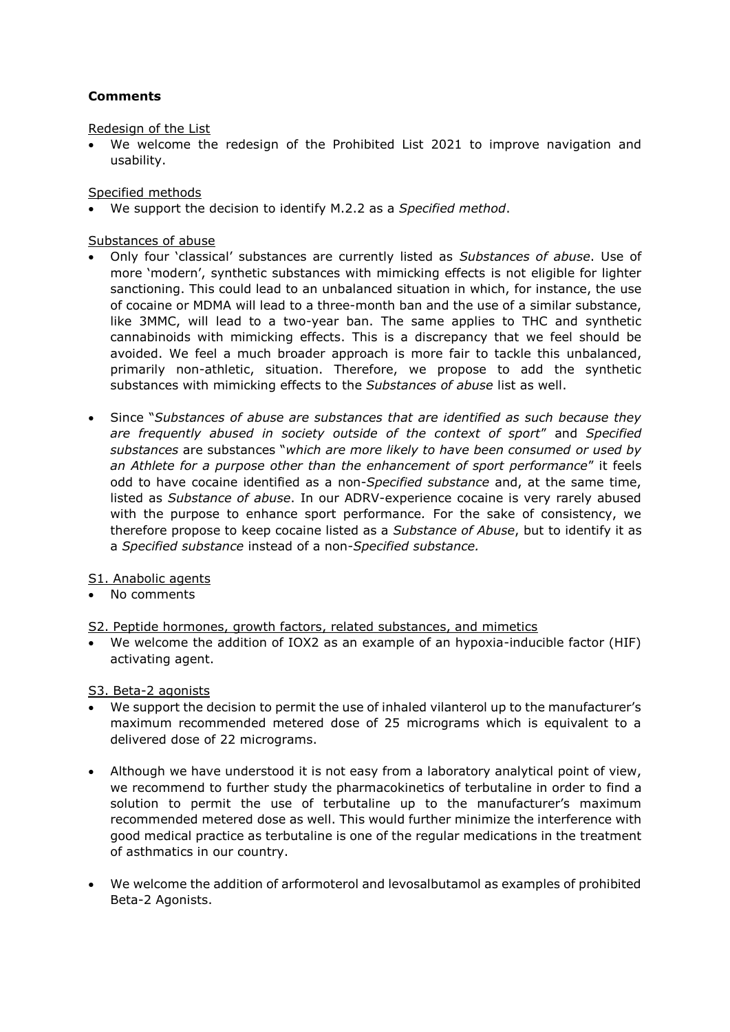# **Comments**

Redesign of the List

 We welcome the redesign of the Prohibited List 2021 to improve navigation and usability.

Specified methods

We support the decision to identify M.2.2 as a *Specified method*.

Substances of abuse

- Only four 'classical' substances are currently listed as *Substances of abuse*. Use of more 'modern', synthetic substances with mimicking effects is not eligible for lighter sanctioning. This could lead to an unbalanced situation in which, for instance, the use of cocaine or MDMA will lead to a three-month ban and the use of a similar substance, like 3MMC, will lead to a two-year ban. The same applies to THC and synthetic cannabinoids with mimicking effects. This is a discrepancy that we feel should be avoided. We feel a much broader approach is more fair to tackle this unbalanced, primarily non-athletic, situation. Therefore, we propose to add the synthetic substances with mimicking effects to the *Substances of abuse* list as well.
- Since "*Substances of abuse are substances that are identified as such because they are frequently abused in society outside of the context of sport*" and *Specified substances* are substances "*which are more likely to have been consumed or used by an Athlete for a purpose other than the enhancement of sport performance*" it feels odd to have cocaine identified as a non-*Specified substance* and, at the same time, listed as *Substance of abuse*. In our ADRV-experience cocaine is very rarely abused with the purpose to enhance sport performance*.* For the sake of consistency, we therefore propose to keep cocaine listed as a *Substance of Abuse*, but to identify it as a *Specified substance* instead of a non-*Specified substance.*
- S1. Anabolic agents
- No comments

S2. Peptide hormones, growth factors, related substances, and mimetics

 We welcome the addition of IOX2 as an example of an hypoxia-inducible factor (HIF) activating agent.

S3. Beta-2 agonists

- We support the decision to permit the use of inhaled vilanterol up to the manufacturer's maximum recommended metered dose of 25 micrograms which is equivalent to a delivered dose of 22 micrograms.
- Although we have understood it is not easy from a laboratory analytical point of view, we recommend to further study the pharmacokinetics of terbutaline in order to find a solution to permit the use of terbutaline up to the manufacturer's maximum recommended metered dose as well. This would further minimize the interference with good medical practice as terbutaline is one of the regular medications in the treatment of asthmatics in our country.
- We welcome the addition of arformoterol and levosalbutamol as examples of prohibited Beta-2 Agonists.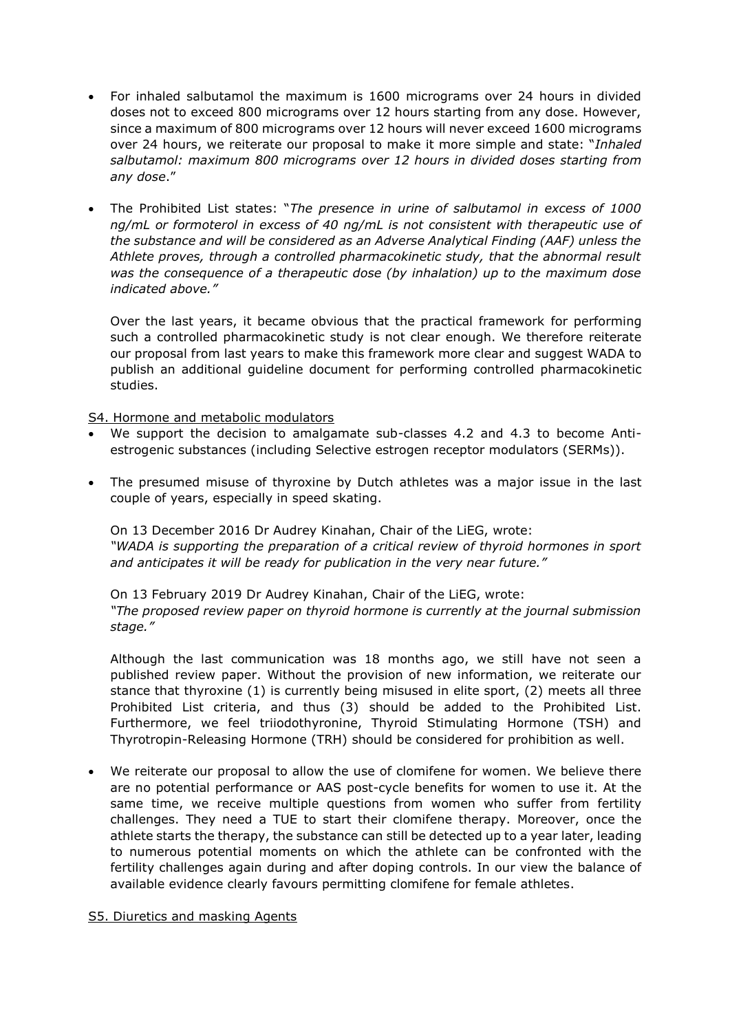- For inhaled salbutamol the maximum is 1600 micrograms over 24 hours in divided doses not to exceed 800 micrograms over 12 hours starting from any dose. However, since a maximum of 800 micrograms over 12 hours will never exceed 1600 micrograms over 24 hours, we reiterate our proposal to make it more simple and state: "*Inhaled salbutamol: maximum 800 micrograms over 12 hours in divided doses starting from any dose*."
- The Prohibited List states: "*The presence in urine of salbutamol in excess of 1000 ng/mL or formoterol in excess of 40 ng/mL is not consistent with therapeutic use of the substance and will be considered as an Adverse Analytical Finding (AAF) unless the Athlete proves, through a controlled pharmacokinetic study, that the abnormal result was the consequence of a therapeutic dose (by inhalation) up to the maximum dose indicated above."*

Over the last years, it became obvious that the practical framework for performing such a controlled pharmacokinetic study is not clear enough. We therefore reiterate our proposal from last years to make this framework more clear and suggest WADA to publish an additional guideline document for performing controlled pharmacokinetic studies.

S4. Hormone and metabolic modulators

- We support the decision to amalgamate sub-classes 4.2 and 4.3 to become Antiestrogenic substances (including Selective estrogen receptor modulators (SERMs)).
- The presumed misuse of thyroxine by Dutch athletes was a major issue in the last couple of years, especially in speed skating.

On 13 December 2016 Dr Audrey Kinahan, Chair of the LiEG, wrote: *"WADA is supporting the preparation of a critical review of thyroid hormones in sport*  and anticipates it will be ready for publication in the very near future."

On 13 February 2019 Dr Audrey Kinahan, Chair of the LiEG, wrote: *"The proposed review paper on thyroid hormone is currently at the journal submission stage."* 

Although the last communication was 18 months ago, we still have not seen a published review paper. Without the provision of new information, we reiterate our stance that thyroxine (1) is currently being misused in elite sport, (2) meets all three Prohibited List criteria, and thus (3) should be added to the Prohibited List. Furthermore, we feel triiodothyronine, Thyroid Stimulating Hormone (TSH) and Thyrotropin-Releasing Hormone (TRH) should be considered for prohibition as well.

 We reiterate our proposal to allow the use of clomifene for women. We believe there are no potential performance or AAS post-cycle benefits for women to use it. At the same time, we receive multiple questions from women who suffer from fertility challenges. They need a TUE to start their clomifene therapy. Moreover, once the athlete starts the therapy, the substance can still be detected up to a year later, leading to numerous potential moments on which the athlete can be confronted with the fertility challenges again during and after doping controls. In our view the balance of available evidence clearly favours permitting clomifene for female athletes.

#### S5. Diuretics and masking Agents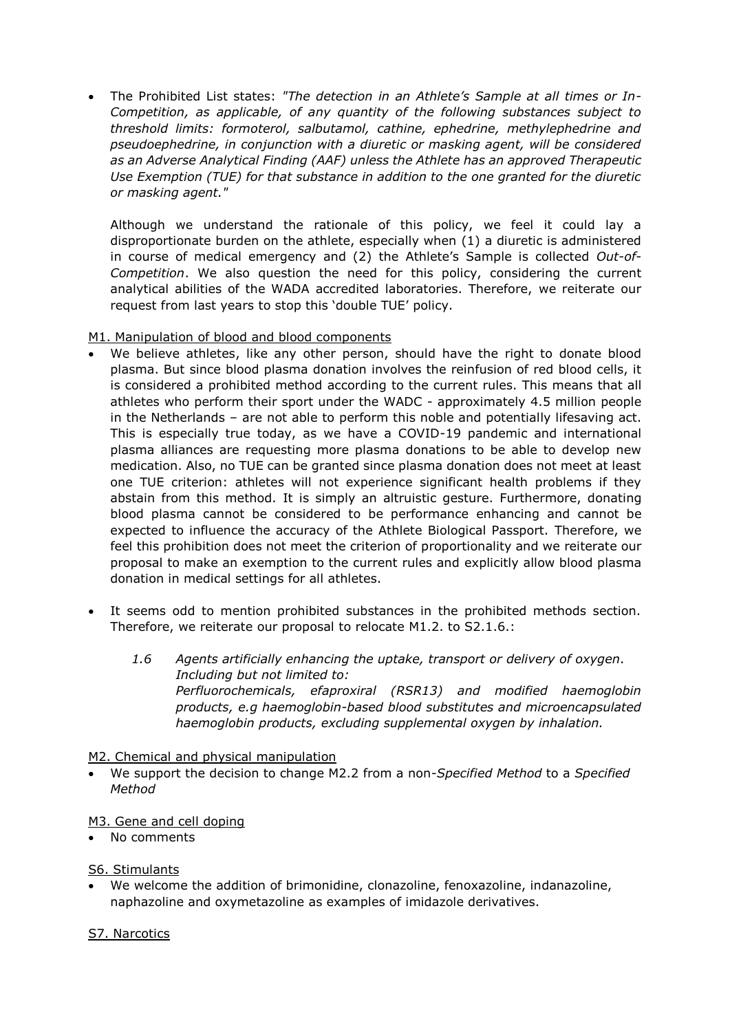The Prohibited List states: *"The detection in an Athlete's Sample at all times or In-Competition, as applicable, of any quantity of the following substances subject to threshold limits: formoterol, salbutamol, cathine, ephedrine, methylephedrine and pseudoephedrine, in conjunction with a diuretic or masking agent, will be considered as an Adverse Analytical Finding (AAF) unless the Athlete has an approved Therapeutic Use Exemption (TUE) for that substance in addition to the one granted for the diuretic or masking agent."*

Although we understand the rationale of this policy, we feel it could lay a disproportionate burden on the athlete, especially when (1) a diuretic is administered in course of medical emergency and (2) the Athlete's Sample is collected *Out-of-Competition*. We also question the need for this policy, considering the current analytical abilities of the WADA accredited laboratories. Therefore, we reiterate our request from last years to stop this 'double TUE' policy.

#### M1. Manipulation of blood and blood components

- We believe athletes, like any other person, should have the right to donate blood plasma. But since blood plasma donation involves the reinfusion of red blood cells, it is considered a prohibited method according to the current rules. This means that all athletes who perform their sport under the WADC - approximately 4.5 million people in the Netherlands – are not able to perform this noble and potentially lifesaving act. This is especially true today, as we have a COVID-19 pandemic and international plasma alliances are requesting more plasma donations to be able to develop new medication. Also, no TUE can be granted since plasma donation does not meet at least one TUE criterion: athletes will not experience significant health problems if they abstain from this method. It is simply an altruistic gesture. Furthermore, donating blood plasma cannot be considered to be performance enhancing and cannot be expected to influence the accuracy of the Athlete Biological Passport. Therefore, we feel this prohibition does not meet the criterion of proportionality and we reiterate our proposal to make an exemption to the current rules and explicitly allow blood plasma donation in medical settings for all athletes.
- It seems odd to mention prohibited substances in the prohibited methods section. Therefore, we reiterate our proposal to relocate M1.2. to S2.1.6.:
	- *1.6 Agents artificially enhancing the uptake, transport or delivery of oxygen. Including but not limited to: Perfluorochemicals, efaproxiral (RSR13) and modified haemoglobin products, e.g haemoglobin-based blood substitutes and microencapsulated haemoglobin products, excluding supplemental oxygen by inhalation.*

## M2. Chemical and physical manipulation

 We support the decision to change M2.2 from a non-*Specified Method* to a *Specified Method*

## M3. Gene and cell doping

• No comments

#### S6. Stimulants

 We welcome the addition of brimonidine, clonazoline, fenoxazoline, indanazoline, naphazoline and oxymetazoline as examples of imidazole derivatives.

#### S7. Narcotics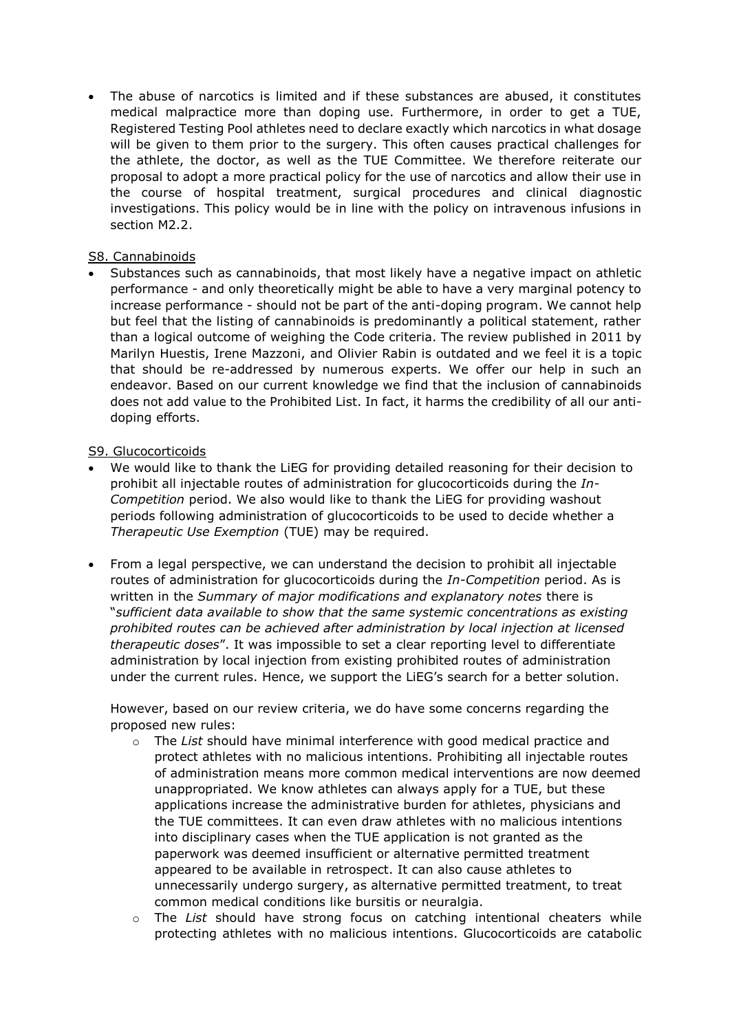The abuse of narcotics is limited and if these substances are abused, it constitutes medical malpractice more than doping use. Furthermore, in order to get a TUE, Registered Testing Pool athletes need to declare exactly which narcotics in what dosage will be given to them prior to the surgery. This often causes practical challenges for the athlete, the doctor, as well as the TUE Committee. We therefore reiterate our proposal to adopt a more practical policy for the use of narcotics and allow their use in the course of hospital treatment, surgical procedures and clinical diagnostic investigations. This policy would be in line with the policy on intravenous infusions in section M2.2.

## S8. Cannabinoids

 Substances such as cannabinoids, that most likely have a negative impact on athletic performance - and only theoretically might be able to have a very marginal potency to increase performance - should not be part of the anti-doping program. We cannot help but feel that the listing of cannabinoids is predominantly a political statement, rather than a logical outcome of weighing the Code criteria. The review published in 2011 by Marilyn Huestis, Irene Mazzoni, and Olivier Rabin is outdated and we feel it is a topic that should be re-addressed by numerous experts. We offer our help in such an endeavor. Based on our current knowledge we find that the inclusion of cannabinoids does not add value to the Prohibited List. In fact, it harms the credibility of all our antidoping efforts.

## S9. Glucocorticoids

- We would like to thank the LiEG for providing detailed reasoning for their decision to prohibit all injectable routes of administration for glucocorticoids during the *In-Competition* period. We also would like to thank the LiEG for providing washout periods following administration of glucocorticoids to be used to decide whether a *Therapeutic Use Exemption* (TUE) may be required.
- From a legal perspective, we can understand the decision to prohibit all injectable routes of administration for glucocorticoids during the *In-Competition* period. As is written in the *Summary of major modifications and explanatory notes* there is "*sufficient data available to show that the same systemic concentrations as existing prohibited routes can be achieved after administration by local injection at licensed therapeutic doses*". It was impossible to set a clear reporting level to differentiate administration by local injection from existing prohibited routes of administration under the current rules. Hence, we support the LiEG's search for a better solution.

However, based on our review criteria, we do have some concerns regarding the proposed new rules:

- o The *List* should have minimal interference with good medical practice and protect athletes with no malicious intentions. Prohibiting all injectable routes of administration means more common medical interventions are now deemed unappropriated. We know athletes can always apply for a TUE, but these applications increase the administrative burden for athletes, physicians and the TUE committees. It can even draw athletes with no malicious intentions into disciplinary cases when the TUE application is not granted as the paperwork was deemed insufficient or alternative permitted treatment appeared to be available in retrospect. It can also cause athletes to unnecessarily undergo surgery, as alternative permitted treatment, to treat common medical conditions like bursitis or neuralgia.
- o The *List* should have strong focus on catching intentional cheaters while protecting athletes with no malicious intentions. Glucocorticoids are catabolic